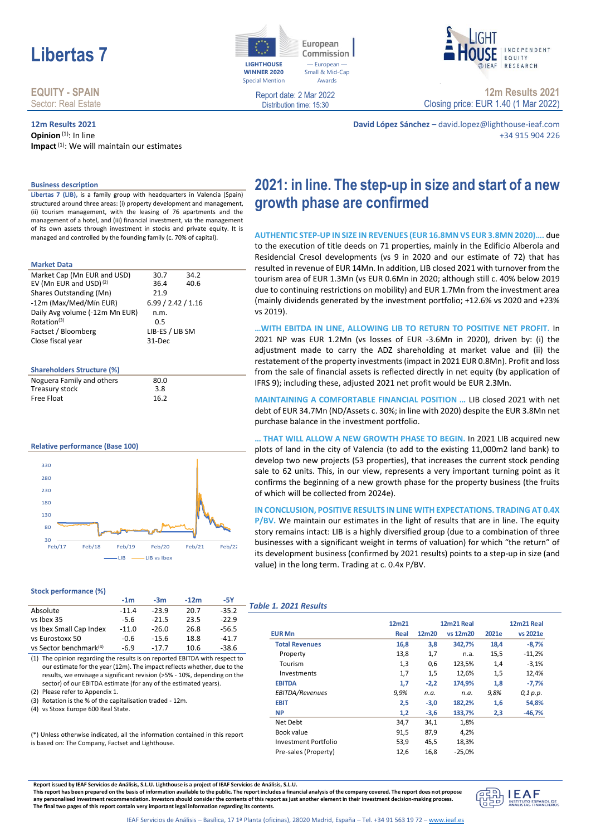# **Libertas 7 LIGHTHOUSE**

#### **EQUITY - SPAIN** Sector: Real Estate

#### **12m Results 2021 Opinion**<sup>(1)</sup>: In line

**Impact**(1): We will maintain our estimates



European Commission - European Small & Mid-Cap Awards



Report date: 2 Mar 2022 Distribution time: 15:30

**12m Results 2021** Closing price: EUR 1.40 (1 Mar 2022)

**David López Sánchez** – david.lopez@lighthouse-ieaf.com +34 915 904 226

#### **Business description**

**Libertas 7 (LIB),** is a family group with headquarters in Valencia (Spain) structured around three areas: (i) property development and management, (ii) tourism management, with the leasing of 76 apartments and the management of a hotel, and (iii) financial investment, via the management of its own assets through investment in stocks and private equity. It is managed and controlled by the founding family (c. 70% of capital).

#### **Market Data**

| Market Cap (Mn EUR and USD)        | 30.7               | 34.2 |  |
|------------------------------------|--------------------|------|--|
| EV (Mn EUR and USD) <sup>(2)</sup> | 36.4               | 40.6 |  |
| Shares Outstanding (Mn)            | 21.9               |      |  |
| -12m (Max/Med/Mín EUR)             | 6.99 / 2.42 / 1.16 |      |  |
| Daily Avg volume (-12m Mn EUR)     | n.m.               |      |  |
| Rotation <sup>(3)</sup>            | 0.5                |      |  |
| Factset / Bloomberg                | LIB-ES / LIB SM    |      |  |
| Close fiscal year                  | 31-Dec             |      |  |
|                                    |                    |      |  |
|                                    |                    |      |  |

#### **Shareholders Structure (%)**

| Noguera Family and others | 80.0 |  |
|---------------------------|------|--|
| Treasury stock            | 3.8  |  |
| Free Float                | 16.2 |  |

#### **Relative performance (Base 100)**



#### **Stock performance (%)**

|                                    | $-1m$   | $-3m$   | $-12m$ | -5Y     |    |
|------------------------------------|---------|---------|--------|---------|----|
| Absolute                           | $-11.4$ | $-23.9$ | 20.7   | $-35.2$ | Ta |
| vs Ibex 35                         | $-5.6$  | $-21.5$ | 23.5   | $-22.9$ |    |
| vs Ibex Small Cap Index            | $-11.0$ | $-26.0$ | 26.8   | $-56.5$ |    |
| vs Eurostoxx 50                    | -0.6    | $-15.6$ | 18.8   | $-41.7$ |    |
| vs Sector benchmark <sup>(4)</sup> | $-6.9$  | $-17.7$ | 10.6   | $-38.6$ |    |

(1) The opinion regarding the results is on reported EBITDA with respect to our estimate for the year (12m). The impact reflects whether, due to the results, we envisage a significant revision (>5% - 10%, depending on the sector) of our EBITDA estimate (for any of the estimated years).

- (2) Please refer to Appendix 1.
- (3) Rotation is the % of the capitalisation traded 12m.

(4) vs Stoxx Europe 600 Real State.

(\*) Unless otherwise indicated, all the information contained in this report is based on: The Company, Factset and Lighthouse.

## **2021: in line. The step-up in size and start of a new growth phase are confirmed**

**AUTHENTIC STEP-UP IN SIZE IN REVENUES (EUR 16.8MN VS EUR 3.8MN 2020)….** due to the execution of title deeds on 71 properties, mainly in the Edificio Alberola and Residencial Cresol developments (vs 9 in 2020 and our estimate of 72) that has resulted in revenue of EUR 14Mn. In addition, LIB closed 2021 with turnover from the tourism area of EUR 1.3Mn (vs EUR 0.6Mn in 2020; although still c. 40% below 2019 due to continuing restrictions on mobility) and EUR 1.7Mn from the investment area (mainly dividends generated by the investment portfolio; +12.6% vs 2020 and +23% vs 2019).

**…WITH EBITDA IN LINE, ALLOWING LIB TO RETURN TO POSITIVE NET PROFIT.** In 2021 NP was EUR 1.2Mn (vs losses of EUR -3.6Mn in 2020), driven by: (i) the adjustment made to carry the ADZ shareholding at market value and (ii) the restatement of the property investments (impact in 2021 EUR 0.8Mn). Profit and loss from the sale of financial assets is reflected directly in net equity (by application of IFRS 9); including these, adjusted 2021 net profit would be EUR 2.3Mn.

**MAINTAINING A COMFORTABLE FINANCIAL POSITION …** LIB closed 2021 with net debt of EUR 34.7Mn (ND/Assets c. 30%; in line with 2020) despite the EUR 3.8Mn net purchase balance in the investment portfolio.

**… THAT WILL ALLOW A NEW GROWTH PHASE TO BEGIN.** In 2021 LIB acquired new plots of land in the city of Valencia (to add to the existing 11,000m2 land bank) to develop two new projects (53 properties), that increases the current stock pending sale to 62 units. This, in our view, represents a very important turning point as it confirms the beginning of a new growth phase for the property business (the fruits of which will be collected from 2024e).

**IN CONCLUSION, POSITIVE RESULTS IN LINE WITH EXPECTATIONS. TRADING AT 0.4X P/BV.** We maintain our estimates in the light of results that are in line. The equity

story remains intact: LIB is a highly diversified group (due to a combination of three businesses with a significant weight in terms of valuation) for which "the return" of its development business (confirmed by 2021 results) points to a step-up in size (and value) in the long term. Trading at c. 0.4x P/BV.

#### *Table 1. 2021 Results*

|                       | 12m21 |        | 12m21 Real |       | 12m21 Real |
|-----------------------|-------|--------|------------|-------|------------|
| <b>EUR Mn</b>         | Real  | 12m20  | vs 12m20   | 2021e | vs 2021e   |
| <b>Total Revenues</b> | 16,8  | 3,8    | 342,7%     | 18,4  | $-8,7%$    |
| Property              | 13,8  | 1,7    | n.a.       | 15,5  | $-11,2%$   |
| Tourism               | 1,3   | 0,6    | 123,5%     | 1,4   | $-3,1%$    |
| Investments           | 1,7   | 1,5    | 12,6%      | 1,5   | 12,4%      |
| <b>EBITDA</b>         | 1,7   | $-2,2$ | 174.9%     | 1,8   | $-7,7%$    |
| EBITDA/Revenues       | 9,9%  | n.a.   | n.a.       | 9,8%  | 0,1 p.p.   |
| <b>EBIT</b>           | 2,5   | $-3,0$ | 182,2%     | 1,6   | 54,8%      |
| <b>NP</b>             | 1,2   | $-3,6$ | 133,7%     | 2,3   | $-46,7%$   |
| Net Debt              | 34,7  | 34,1   | 1,8%       |       |            |
| Book value            | 91,5  | 87,9   | 4,2%       |       |            |
| Investment Portfolio  | 53,9  | 45,5   | 18,3%      |       |            |
| Pre-sales (Property)  | 12,6  | 16,8   | $-25.0%$   |       |            |

**Report issued by IEAF Servicios de Análisis, S.L.U. Lighthouse is a project of IEAF Servicios de Análisis, S.L.U.**

**This report has been prepared on the basis of information available to the public. The report includes a financial analysis of the company covered. The report does not propose any personalised investment recommendation. Investors should consider the contents of this report as just another element in their investment decision-making process. The final two pages of this report contain very important legal information regarding its contents.**

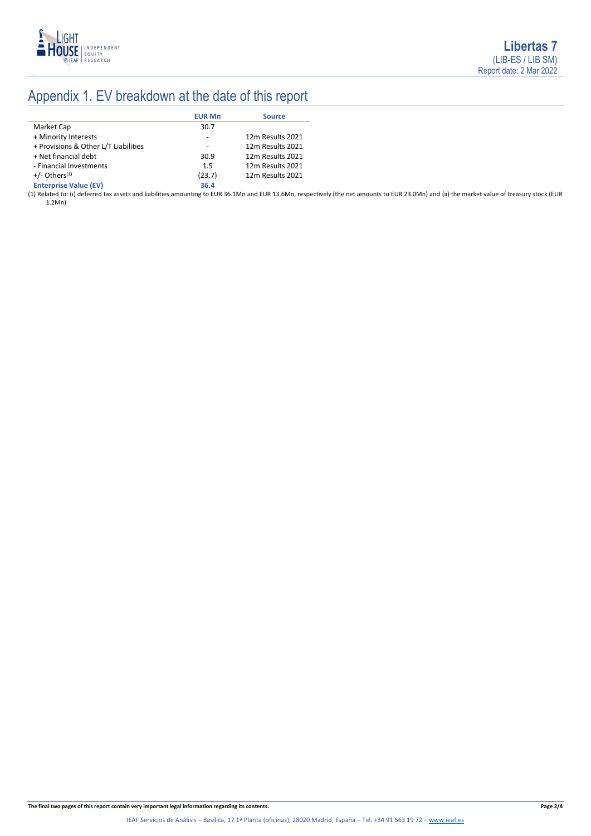

# Appendix 1. EV breakdown at the date of this report

|                                      | <b>EUR Mn</b> | <b>Source</b>    |
|--------------------------------------|---------------|------------------|
| Market Cap                           | 30.7          |                  |
| + Minority Interests                 | ٠             | 12m Results 2021 |
| + Provisions & Other L/T Liabilities |               | 12m Results 2021 |
| + Net financial debt                 | 30.9          | 12m Results 2021 |
| - Financial Investments              | 1.5           | 12m Results 2021 |
| $+/-$ Others <sup>(1)</sup>          | (23.7)        | 12m Results 2021 |
| <b>Enterprise Value (EV)</b>         | 36.4          |                  |

(1) Related to: (i) deferred tax assets and liabilities amounting to EUR 36.1Mn and EUR 13.6Mn, respectively (the net amounts to EUR 23.0Mn) and (ii) the market value of treasury stock (EUR 1.2Mn)

**The final two pages of this report contain very important legal information regarding its contents. Page 2/4**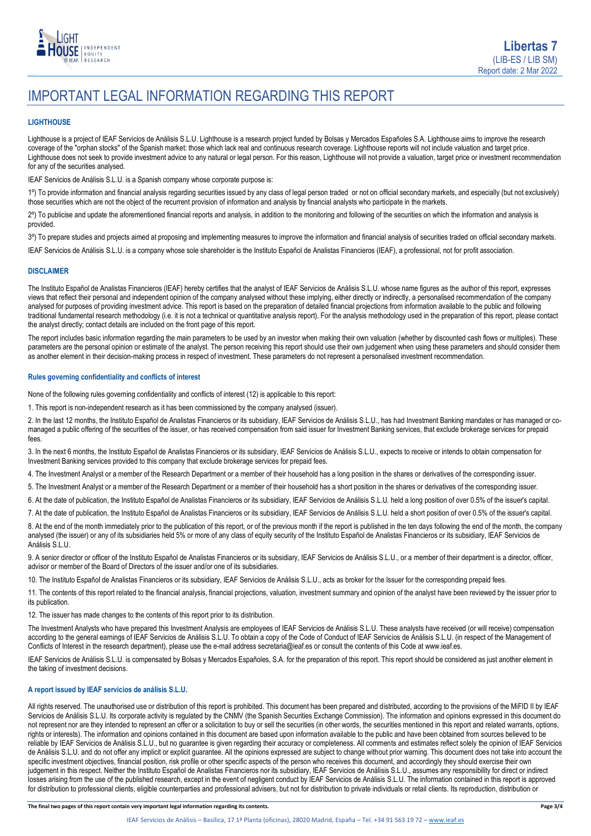

## IMPORTANT LEGAL INFORMATION REGARDING THIS REPORT

#### **LIGHTHOUSE**

Lighthouse is a project of IEAF Servicios de Análisis S.L.U. Lighthouse is a research project funded by Bolsas y Mercados Españoles S.A. Lighthouse aims to improve the research coverage of the "orphan stocks" of the Spanish market: those which lack real and continuous research coverage. Lighthouse reports will not include valuation and target price. Lighthouse does not seek to provide investment advice to any natural or legal person. For this reason, Lighthouse will not provide a valuation, target price or investment recommendation for any of the securities analysed.

IEAF Servicios de Análisis S.L.U. is a Spanish company whose corporate purpose is:

1º) To provide information and financial analysis regarding securities issued by any class of legal person traded or not on official secondary markets, and especially (but not exclusively) those securities which are not the object of the recurrent provision of information and analysis by financial analysts who participate in the markets.

2º) To publicise and update the aforementioned financial reports and analysis, in addition to the monitoring and following of the securities on which the information and analysis is provided.

3º) To prepare studies and projects aimed at proposing and implementing measures to improve the information and financial analysis of securities traded on official secondary markets.

IEAF Servicios de Análisis S.L.U. is a company whose sole shareholder is the Instituto Español de Analistas Financieros (IEAF), a professional, not for profit association.

#### **DISCLAIMER**

The Instituto Español de Analistas Financieros (IEAF) hereby certifies that the analyst of IEAF Servicios de Análisis S.L.U. whose name figures as the author of this report, expresses views that reflect their personal and independent opinion of the company analysed without these implying, either directly or indirectly, a personalised recommendation of the company analysed for purposes of providing investment advice. This report is based on the preparation of detailed financial projections from information available to the public and following traditional fundamental research methodology (i.e. it is not a technical or quantitative analysis report). For the analysis methodology used in the preparation of this report, please contact the analyst directly; contact details are included on the front page of this report.

The report includes basic information regarding the main parameters to be used by an investor when making their own valuation (whether by discounted cash flows or multiples). These parameters are the personal opinion or estimate of the analyst. The person receiving this report should use their own judgement when using these parameters and should consider them as another element in their decision-making process in respect of investment. These parameters do not represent a personalised investment recommendation.

#### **Rules governing confidentiality and conflicts of interest**

None of the following rules governing confidentiality and conflicts of interest (12) is applicable to this report:

1. This report is non-independent research as it has been commissioned by the company analysed (issuer).

2. In the last 12 months, the Instituto Español de Analistas Financieros or its subsidiary, IEAF Servicios de Análisis S.L.U., has had Investment Banking mandates or has managed or comanaged a public offering of the securities of the issuer, or has received compensation from said issuer for Investment Banking services, that exclude brokerage services for prepaid fees.

3. In the next 6 months, the Instituto Español de Analistas Financieros or its subsidiary, IEAF Servicios de Análisis S.L.U., expects to receive or intends to obtain compensation for Investment Banking services provided to this company that exclude brokerage services for prepaid fees.

4. The Investment Analyst or a member of the Research Department or a member of their household has a long position in the shares or derivatives of the corresponding issuer.

5. The Investment Analyst or a member of the Research Department or a member of their household has a short position in the shares or derivatives of the corresponding issuer.

6. At the date of publication, the Instituto Español de Analistas Financieros or its subsidiary, IEAF Servicios de Análisis S.L.U. held a long position of over 0.5% of the issuer's capital.

7. At the date of publication, the Instituto Español de Analistas Financieros or its subsidiary, IEAF Servicios de Análisis S.L.U. held a short position of over 0.5% of the issuer's capital.

8. At the end of the month immediately prior to the publication of this report, or of the previous month if the report is published in the ten days following the end of the month, the company analysed (the issuer) or any of its subsidiaries held 5% or more of any class of equity security of the Instituto Español de Analistas Financieros or its subsidiary, IEAF Servicios de Análisis S.L.U.

9. A senior director or officer of the Instituto Español de Analistas Financieros or its subsidiary, IEAF Servicios de Análisis S.L.U., or a member of their department is a director, officer, advisor or member of the Board of Directors of the issuer and/or one of its subsidiaries.

10. The Instituto Español de Analistas Financieros or its subsidiary, IEAF Servicios de Análisis S.L.U., acts as broker for the Issuer for the corresponding prepaid fees.

11. The contents of this report related to the financial analysis, financial projections, valuation, investment summary and opinion of the analyst have been reviewed by the issuer prior to its publication.

12. The issuer has made changes to the contents of this report prior to its distribution.

The Investment Analysts who have prepared this Investment Analysis are employees of IEAF Servicios de Análisis S.L.U. These analysts have received (or will receive) compensation according to the general earnings of IEAF Servicios de Análisis S.L.U. To obtain a copy of the Code of Conduct of IEAF Servicios de Análisis S.L.U. (in respect of the Management of Conflicts of Interest in the research department), please use the e-mail address secretaria@ieaf.es or consult the contents of this Code at [www.ieaf.es.](https://www.ieaf.es/images/IEAF/LIGHTHOUSE/IEAF_LIGHTHOUSE_CodigoDeConducta.pdf) 

IEAF Servicios de Análisis S.L.U. is compensated by Bolsas y Mercados Españoles, S.A. for the preparation of this report. This report should be considered as just another element in the taking of investment decisions.

#### **A report issued by IEAF servicios de análisis S.L.U.**

All rights reserved. The unauthorised use or distribution of this report is prohibited. This document has been prepared and distributed, according to the provisions of the MiFID II by IEAF Servicios de Análisis S.L.U. Its corporate activity is regulated by the CNMV (the Spanish Securities Exchange Commission). The information and opinions expressed in this document do not represent nor are they intended to represent an offer or a solicitation to buy or sell the securities (in other words, the securities mentioned in this report and related warrants, options, rights or interests). The information and opinions contained in this document are based upon information available to the public and have been obtained from sources believed to be reliable by IEAF Servicios de Análisis S.L.U., but no guarantee is given regarding their accuracy or completeness. All comments and estimates reflect solely the opinion of IEAF Servicios de Análisis S.L.U. and do not offer any implicit or explicit guarantee. All the opinions expressed are subject to change without prior warning. This document does not take into account the specific investment objectives, financial position, risk profile or other specific aspects of the person who receives this document, and accordingly they should exercise their own judgement in this respect. Neither the Instituto Español de Analistas Financieros nor its subsidiary, IEAF Servicios de Análisis S.L.U., assumes any responsibility for direct or indirect losses arising from the use of the published research, except in the event of negligent conduct by IEAF Servicios de Análisis S.L.U. The information contained in this report is approved for distribution to professional clients, eligible counterparties and professional advisers, but not for distribution to private individuals or retail clients. Its reproduction, distribution or